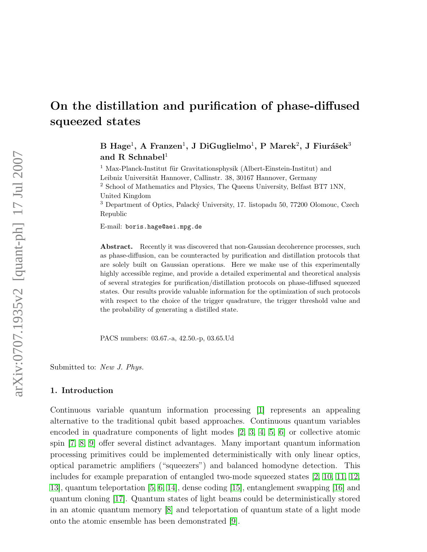# On the distillation and purification of phase-diffused squeezed states

 $\rm{B\;Hage^1,\;A\;Fransen^1,\,J\;DiGuglielmo^1,\,P\;Marek^2,\,J\;Fiurášek^3}$ and R Schnabel<sup>1</sup>

 $^1$ Max-Planck-Institut für Gravitationsphysik (Albert-Einstein-Institut) and Leibniz Universität Hannover, Callinstr. 38, 30167 Hannover, Germany <sup>2</sup> School of Mathematics and Physics, The Queens University, Belfast BT7 1NN, United Kingdom

<sup>3</sup> Department of Optics, Palacký University, 17. listopadu 50, 77200 Olomouc, Czech Republic

E-mail: boris.hage@aei.mpg.de

Abstract. Recently it was discovered that non-Gaussian decoherence processes, such as phase-diffusion, can be counteracted by purification and distillation protocols that are solely built on Gaussian operations. Here we make use of this experimentally highly accessible regime, and provide a detailed experimental and theoretical analysis of several strategies for purification/distillation protocols on phase-diffused squeezed states. Our results provide valuable information for the optimization of such protocols with respect to the choice of the trigger quadrature, the trigger threshold value and the probability of generating a distilled state.

PACS numbers: 03.67.-a, 42.50.-p, 03.65.Ud

Submitted to: New J. Phys.

# 1. Introduction

Continuous variable quantum information processing [\[1\]](#page-16-0) represents an appealing alternative to the traditional qubit based approaches. Continuous quantum variables encoded in quadrature components of light modes [\[2,](#page-16-1) [3,](#page-16-2) [4,](#page-16-3) [5,](#page-16-4) [6\]](#page-16-5) or collective atomic spin [\[7,](#page-16-6) [8,](#page-16-7) [9\]](#page-16-8) offer several distinct advantages. Many important quantum information processing primitives could be implemented deterministically with only linear optics, optical parametric amplifiers ("squeezers") and balanced homodyne detection. This includes for example preparation of entangled two-mode squeezed states [\[2,](#page-16-1) [10,](#page-16-9) [11,](#page-16-10) [12,](#page-16-11) [13\]](#page-17-0), quantum teleportation [\[5,](#page-16-4) [6,](#page-16-5) [14\]](#page-17-1), dense coding [\[15\]](#page-17-2), entanglement swapping [\[16\]](#page-17-3) and quantum cloning [\[17\]](#page-17-4). Quantum states of light beams could be deterministically stored in an atomic quantum memory [\[8\]](#page-16-7) and teleportation of quantum state of a light mode onto the atomic ensemble has been demonstrated [\[9\]](#page-16-8).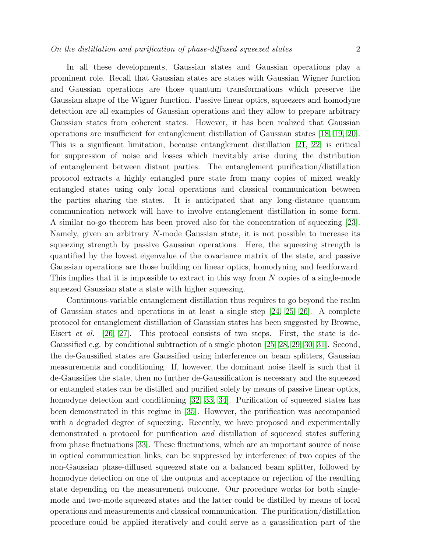In all these developments, Gaussian states and Gaussian operations play a prominent role. Recall that Gaussian states are states with Gaussian Wigner function and Gaussian operations are those quantum transformations which preserve the Gaussian shape of the Wigner function. Passive linear optics, squeezers and homodyne detection are all examples of Gaussian operations and they allow to prepare arbitrary Gaussian states from coherent states. However, it has been realized that Gaussian operations are insufficient for entanglement distillation of Gaussian states [\[18,](#page-17-5) [19,](#page-17-6) [20\]](#page-17-7). This is a significant limitation, because entanglement distillation [\[21,](#page-17-8) [22\]](#page-17-9) is critical for suppression of noise and losses which inevitably arise during the distribution of entanglement between distant parties. The entanglement purification/distillation protocol extracts a highly entangled pure state from many copies of mixed weakly entangled states using only local operations and classical communication between the parties sharing the states. It is anticipated that any long-distance quantum communication network will have to involve entanglement distillation in some form. A similar no-go theorem has been proved also for the concentration of squeezing [\[23\]](#page-17-10). Namely, given an arbitrary N-mode Gaussian state, it is not possible to increase its squeezing strength by passive Gaussian operations. Here, the squeezing strength is quantified by the lowest eigenvalue of the covariance matrix of the state, and passive Gaussian operations are those building on linear optics, homodyning and feedforward. This implies that it is impossible to extract in this way from N copies of a single-mode squeezed Gaussian state a state with higher squeezing.

Continuous-variable entanglement distillation thus requires to go beyond the realm of Gaussian states and operations in at least a single step [\[24,](#page-17-11) [25,](#page-17-12) [26\]](#page-17-13). A complete protocol for entanglement distillation of Gaussian states has been suggested by Browne, Eisert et al. [\[26,](#page-17-13) [27\]](#page-17-14). This protocol consists of two steps. First, the state is de-Gaussified e.g. by conditional subtraction of a single photon [\[25,](#page-17-12) [28,](#page-17-15) [29,](#page-17-16) [30,](#page-17-17) [31\]](#page-17-18). Second, the de-Gaussified states are Gaussified using interference on beam splitters, Gaussian measurements and conditioning. If, however, the dominant noise itself is such that it de-Gaussifies the state, then no further de-Gaussification is necessary and the squeezed or entangled states can be distilled and purified solely by means of passive linear optics, homodyne detection and conditioning [\[32,](#page-17-19) [33,](#page-17-20) [34\]](#page-17-21). Purification of squeezed states has been demonstrated in this regime in [\[35\]](#page-17-22). However, the purification was accompanied with a degraded degree of squeezing. Recently, we have proposed and experimentally demonstrated a protocol for purification and distillation of squeezed states suffering from phase fluctuations [\[33\]](#page-17-20). These fluctuations, which are an important source of noise in optical communication links, can be suppressed by interference of two copies of the non-Gaussian phase-diffused squeezed state on a balanced beam splitter, followed by homodyne detection on one of the outputs and acceptance or rejection of the resulting state depending on the measurement outcome. Our procedure works for both singlemode and two-mode squeezed states and the latter could be distilled by means of local operations and measurements and classical communication. The purification/distillation procedure could be applied iteratively and could serve as a gaussification part of the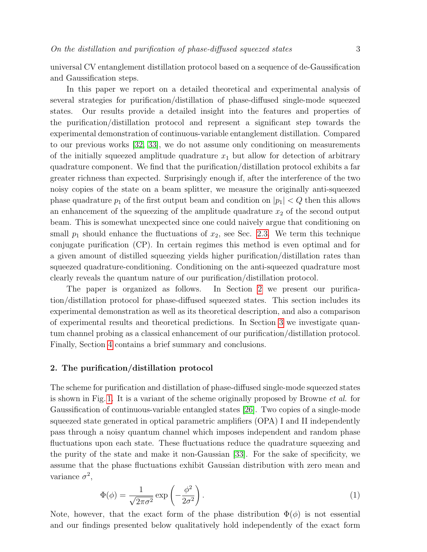universal CV entanglement distillation protocol based on a sequence of de-Gaussification and Gaussification steps.

In this paper we report on a detailed theoretical and experimental analysis of several strategies for purification/distillation of phase-diffused single-mode squeezed states. Our results provide a detailed insight into the features and properties of the purification/distillation protocol and represent a significant step towards the experimental demonstration of continuous-variable entanglement distillation. Compared to our previous works [\[32,](#page-17-19) [33\]](#page-17-20), we do not assume only conditioning on measurements of the initially squeezed amplitude quadrature  $x_1$  but allow for detection of arbitrary quadrature component. We find that the purification/distillation protocol exhibits a far greater richness than expected. Surprisingly enough if, after the interference of the two noisy copies of the state on a beam splitter, we measure the originally anti-squeezed phase quadrature  $p_1$  of the first output beam and condition on  $|p_1| < Q$  then this allows an enhancement of the squeezing of the amplitude quadrature  $x_2$  of the second output beam. This is somewhat unexpected since one could naively argue that conditioning on small  $p_1$  should enhance the fluctuations of  $x_2$ , see Sec. [2.3.](#page-7-0) We term this technique conjugate purification (CP). In certain regimes this method is even optimal and for a given amount of distilled squeezing yields higher purification/distillation rates than squeezed quadrature-conditioning. Conditioning on the anti-squeezed quadrature most clearly reveals the quantum nature of our purification/distillation protocol.

The paper is organized as follows. In Section [2](#page-2-0) we present our purification/distillation protocol for phase-diffused squeezed states. This section includes its experimental demonstration as well as its theoretical description, and also a comparison of experimental results and theoretical predictions. In Section [3](#page-12-0) we investigate quantum channel probing as a classical enhancement of our purification/distillation protocol. Finally, Section [4](#page-15-0) contains a brief summary and conclusions.

## <span id="page-2-0"></span>2. The purification/distillation protocol

The scheme for purification and distillation of phase-diffused single-mode squeezed states is shown in Fig. [1.](#page-3-0) It is a variant of the scheme originally proposed by Browne et al. for Gaussification of continuous-variable entangled states [\[26\]](#page-17-13). Two copies of a single-mode squeezed state generated in optical parametric amplifiers (OPA) I and II independently pass through a noisy quantum channel which imposes independent and random phase fluctuations upon each state. These fluctuations reduce the quadrature squeezing and the purity of the state and make it non-Gaussian [\[33\]](#page-17-20). For the sake of specificity, we assume that the phase fluctuations exhibit Gaussian distribution with zero mean and variance  $\sigma^2$ ,

$$
\Phi(\phi) = \frac{1}{\sqrt{2\pi\sigma^2}} \exp\left(-\frac{\phi^2}{2\sigma^2}\right). \tag{1}
$$

Note, however, that the exact form of the phase distribution  $\Phi(\phi)$  is not essential and our findings presented below qualitatively hold independently of the exact form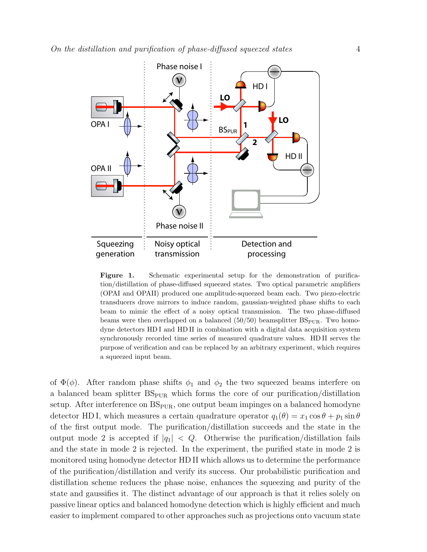

<span id="page-3-0"></span>Figure 1. Schematic experimental setup for the demonstration of purification/distillation of phase-diffused squeezed states. Two optical parametric amplifiers (OPAI and OPAII) produced one amplitude-squeezed beam each. Two piezo-electric transducers drove mirrors to induce random, gaussian-weighted phase shifts to each beam to mimic the effect of a noisy optical transmission. The two phase-diffused beams were then overlapped on a balanced  $(50/50)$  beamsplitter  $BS_{\text{PUR}}$ . Two homodyne detectors HD I and HD II in combination with a digital data acquisition system synchronously recorded time series of measured quadrature values. HD II serves the purpose of verification and can be replaced by an arbitrary experiment, which requires a squeezed input beam.

of  $\Phi(\phi)$ . After random phase shifts  $\phi_1$  and  $\phi_2$  the two squeezed beams interfere on a balanced beam splitter  $BS_{PUR}$  which forms the core of our purification/distillation setup. After interference on  $BS<sub>PUR</sub>$ , one output beam impinges on a balanced homodyne detector HD I, which measures a certain quadrature operator  $q_1(\theta) = x_1 \cos \theta + p_1 \sin \theta$ of the first output mode. The purification/distillation succeeds and the state in the output mode 2 is accepted if  $|q_1| < Q$ . Otherwise the purification/distillation fails and the state in mode 2 is rejected. In the experiment, the purified state in mode 2 is monitored using homodyne detector HD II which allows us to determine the performance of the purification/distillation and verify its success. Our probabilistic purification and distillation scheme reduces the phase noise, enhances the squeezing and purity of the state and gaussifies it. The distinct advantage of our approach is that it relies solely on passive linear optics and balanced homodyne detection which is highly efficient and much easier to implement compared to other approaches such as projections onto vacuum state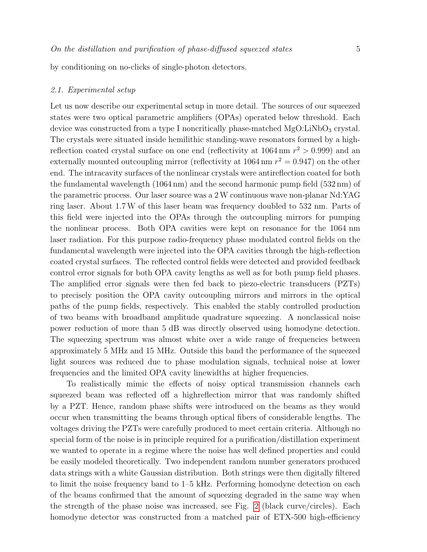by conditioning on no-clicks of single-photon detectors.

#### 2.1. Experimental setup

Let us now describe our experimental setup in more detail. The sources of our squeezed states were two optical parametric amplifiers (OPAs) operated below threshold. Each device was constructed from a type I noncritically phase-matched  $MgO:LiNbO<sub>3</sub>$  crystal. The crystals were situated inside hemilithic standing-wave resonators formed by a highreflection coated crystal surface on one end (reflectivity at  $1064 \text{ nm } r^2 > 0.999$ ) and an externally mounted outcoupling mirror (reflectivity at  $1064 \text{ nm } r^2 = 0.947$ ) on the other end. The intracavity surfaces of the nonlinear crystals were antireflection coated for both the fundamental wavelength (1064 nm) and the second harmonic pump field (532 nm) of the parametric process. Our laser source was a 2W continuous wave non-planar Nd:YAG ring laser. About 1.7W of this laser beam was frequency doubled to 532 nm. Parts of this field were injected into the OPAs through the outcoupling mirrors for pumping the nonlinear process. Both OPA cavities were kept on resonance for the 1064 nm laser radiation. For this purpose radio-frequency phase modulated control fields on the fundamental wavelength were injected into the OPA cavities through the high-reflection coated crystal surfaces. The reflected control fields were detected and provided feedback control error signals for both OPA cavity lengths as well as for both pump field phases. The amplified error signals were then fed back to piezo-electric transducers (PZTs) to precisely position the OPA cavity outcoupling mirrors and mirrors in the optical paths of the pump fields, respectively. This enabled the stably controlled production of two beams with broadband amplitude quadrature squeezing. A nonclassical noise power reduction of more than 5 dB was directly observed using homodyne detection. The squeezing spectrum was almost white over a wide range of frequencies between approximately 5 MHz and 15 MHz. Outside this band the performance of the squeezed light sources was reduced due to phase modulation signals, technical noise at lower frequencies and the limited OPA cavity linewidths at higher frequencies.

To realistically mimic the effects of noisy optical transmission channels each squeezed beam was reflected off a highreflection mirror that was randomly shifted by a PZT. Hence, random phase shifts were introduced on the beams as they would occur when transmitting the beams through optical fibers of considerable lengths. The voltages driving the PZTs were carefully produced to meet certain criteria. Although no special form of the noise is in principle required for a purification/distillation experiment we wanted to operate in a regime where the noise has well defined properties and could be easily modeled theoretically. Two independent random number generators produced data strings with a white Gaussian distribution. Both strings were then digitally filtered to limit the noise frequency band to 1–5 kHz. Performing homodyne detection on each of the beams confirmed that the amount of squeezing degraded in the same way when the strength of the phase noise was increased, see Fig. [2](#page-7-1) (black curve/circles). Each homodyne detector was constructed from a matched pair of ETX-500 high-efficiency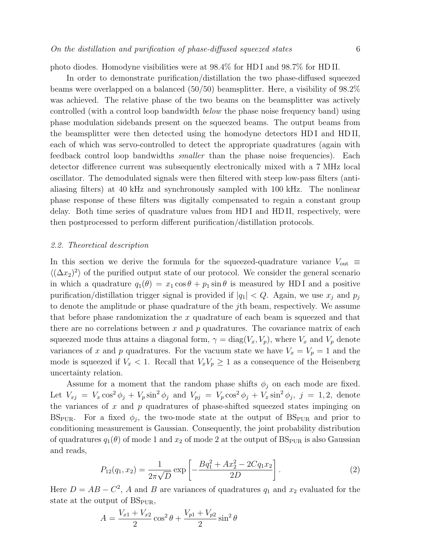photo diodes. Homodyne visibilities were at 98.4% for HD I and 98.7% for HD II.

In order to demonstrate purification/distillation the two phase-diffused squeezed beams were overlapped on a balanced  $(50/50)$  beamsplitter. Here, a visibility of  $98.2\%$ was achieved. The relative phase of the two beams on the beamsplitter was actively controlled (with a control loop bandwidth below the phase noise frequency band) using phase modulation sidebands present on the squeezed beams. The output beams from the beamsplitter were then detected using the homodyne detectors HD I and HD II, each of which was servo-controlled to detect the appropriate quadratures (again with feedback control loop bandwidths smaller than the phase noise frequencies). Each detector difference current was subsequently electronically mixed with a 7 MHz local oscillator. The demodulated signals were then filtered with steep low-pass filters (antialiasing filters) at 40 kHz and synchronously sampled with 100 kHz. The nonlinear phase response of these filters was digitally compensated to regain a constant group delay. Both time series of quadrature values from HD I and HD II, respectively, were then postprocessed to perform different purification/distillation protocols.

## <span id="page-5-0"></span>2.2. Theoretical description

In this section we derive the formula for the squeezed-quadrature variance  $V_{\text{out}} \equiv$  $\langle (\Delta x_2)^2 \rangle$  of the purified output state of our protocol. We consider the general scenario in which a quadrature  $q_1(\theta) = x_1 \cos \theta + p_1 \sin \theta$  is measured by HDI and a positive purification/distillation trigger signal is provided if  $|q_1| < Q$ . Again, we use  $x_i$  and  $p_j$ to denote the amplitude or phase quadrature of the jth beam, respectively. We assume that before phase randomization the  $x$  quadrature of each beam is squeezed and that there are no correlations between x and  $p$  quadratures. The covariance matrix of each squeezed mode thus attains a diagonal form,  $\gamma = diag(V_x, V_p)$ , where  $V_x$  and  $V_p$  denote variances of x and p quadratures. For the vacuum state we have  $V_x = V_p = 1$  and the mode is squeezed if  $V_x < 1$ . Recall that  $V_xV_p \geq 1$  as a consequence of the Heisenberg uncertainty relation.

Assume for a moment that the random phase shifts  $\phi_i$  on each mode are fixed. Let  $V_{xj} = V_x \cos^2 \phi_j + V_p \sin^2 \phi_j$  and  $V_{pj} = V_p \cos^2 \phi_j + V_x \sin^2 \phi_j$ ,  $j = 1, 2$ , denote the variances of  $x$  and  $p$  quadratures of phase-shifted squeezed states impinging on BS<sub>PUR</sub>. For a fixed  $\phi_j$ , the two-mode state at the output of BS<sub>PUR</sub> and prior to conditioning measurement is Gaussian. Consequently, the joint probability distribution of quadratures  $q_1(\theta)$  of mode 1 and  $x_2$  of mode 2 at the output of  $BS_{PUR}$  is also Gaussian and reads,

$$
P_{12}(q_1, x_2) = \frac{1}{2\pi\sqrt{D}} \exp\left[-\frac{Bq_1^2 + Ax_2^2 - 2Cq_1x_2}{2D}\right].
$$
 (2)

Here  $D = AB - C^2$ , A and B are variances of quadratures  $q_1$  and  $x_2$  evaluated for the state at the output of  $BS_{\text{PUR}}$ ,

$$
A = \frac{V_{x1} + V_{x2}}{2} \cos^2 \theta + \frac{V_{p1} + V_{p2}}{2} \sin^2 \theta
$$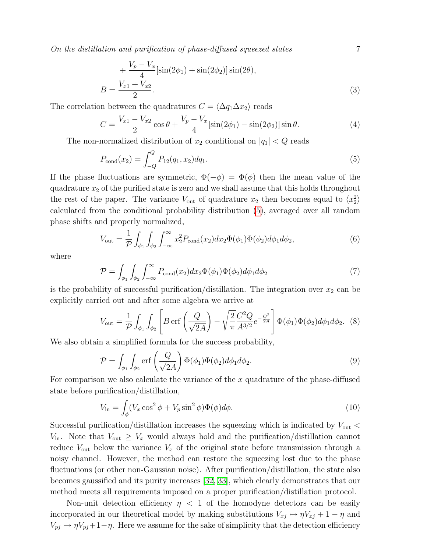On the distillation and purification of phase-diffused squeezed states 7

$$
+\frac{V_p - V_x}{4} [\sin(2\phi_1) + \sin(2\phi_2)] \sin(2\theta),
$$
  

$$
B = \frac{V_{x1} + V_{x2}}{2}.
$$
 (3)

The correlation between the quadratures  $C = \langle \Delta q_1 \Delta x_2 \rangle$  reads

$$
C = \frac{V_{x1} - V_{x2}}{2} \cos \theta + \frac{V_p - V_x}{4} [\sin(2\phi_1) - \sin(2\phi_2)] \sin \theta.
$$
 (4)

The non-normalized distribution of  $x_2$  conditional on  $|q_1| < Q$  reads

<span id="page-6-0"></span>
$$
P_{\text{cond}}(x_2) = \int_{-Q}^{Q} P_{12}(q_1, x_2) dq_1.
$$
\n(5)

If the phase fluctuations are symmetric,  $\Phi(-\phi) = \Phi(\phi)$  then the mean value of the quadrature  $x_2$  of the purified state is zero and we shall assume that this holds throughout the rest of the paper. The variance  $V_{\text{out}}$  of quadrature  $x_2$  then becomes equal to  $\langle x_2^2 \rangle$ calculated from the conditional probability distribution [\(5\)](#page-6-0), averaged over all random phase shifts and properly normalized,

$$
V_{\text{out}} = \frac{1}{\mathcal{P}} \int_{\phi_1} \int_{\phi_2} \int_{-\infty}^{\infty} x_2^2 P_{\text{cond}}(x_2) dx_2 \Phi(\phi_1) \Phi(\phi_2) d\phi_1 d\phi_2, \tag{6}
$$

where

$$
\mathcal{P} = \int_{\phi_1} \int_{\phi_2} \int_{-\infty}^{\infty} P_{\text{cond}}(x_2) dx_2 \Phi(\phi_1) \Phi(\phi_2) d\phi_1 d\phi_2 \tag{7}
$$

is the probability of successful purification/distillation. The integration over  $x_2$  can be explicitly carried out and after some algebra we arrive at

<span id="page-6-1"></span>
$$
V_{\text{out}} = \frac{1}{\mathcal{P}} \int_{\phi_1} \int_{\phi_2} \left[ B \operatorname{erf} \left( \frac{Q}{\sqrt{2A}} \right) - \sqrt{\frac{2}{\pi}} \frac{C^2 Q}{A^{3/2}} e^{-\frac{Q^2}{2A}} \right] \Phi(\phi_1) \Phi(\phi_2) d\phi_1 d\phi_2. \tag{8}
$$

We also obtain a simplified formula for the success probability,

<span id="page-6-2"></span>
$$
\mathcal{P} = \int_{\phi_1} \int_{\phi_2} \text{erf}\left(\frac{Q}{\sqrt{2A}}\right) \Phi(\phi_1) \Phi(\phi_2) d\phi_1 d\phi_2.
$$
\n(9)

For comparison we also calculate the variance of the  $x$  quadrature of the phase-diffused state before purification/distillation,

$$
V_{\rm in} = \int_{\phi} (V_x \cos^2 \phi + V_p \sin^2 \phi) \Phi(\phi) d\phi.
$$
 (10)

Successful purification/distillation increases the squeezing which is indicated by  $V_{\text{out}}$  $V_{\text{in}}$ . Note that  $V_{\text{out}} \geq V_x$  would always hold and the purification/distillation cannot reduce  $V_{\text{out}}$  below the variance  $V_x$  of the original state before transmission through a noisy channel. However, the method can restore the squeezing lost due to the phase fluctuations (or other non-Gaussian noise). After purification/distillation, the state also becomes gaussified and its purity increases [\[32,](#page-17-19) [33\]](#page-17-20), which clearly demonstrates that our method meets all requirements imposed on a proper purification/distillation protocol.

Non-unit detection efficiency  $\eta$  < 1 of the homodyne detectors can be easily incorporated in our theoretical model by making substitutions  $V_{xj} \mapsto \eta V_{xj} + 1 - \eta$  and  $V_{pj} \rightarrow \eta V_{pj}+1-\eta$ . Here we assume for the sake of simplicity that the detection efficiency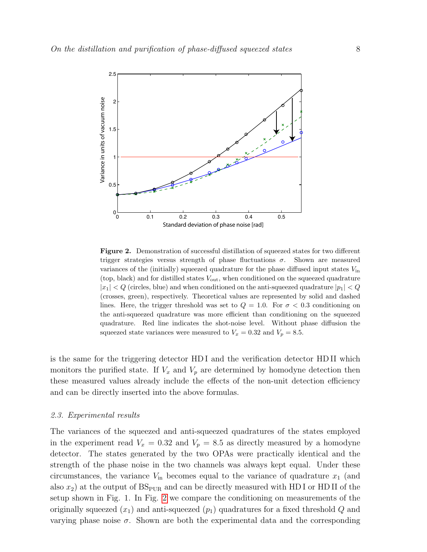

<span id="page-7-1"></span>Figure 2. Demonstration of successful distillation of squeezed states for two different trigger strategies versus strength of phase fluctuations  $\sigma$ . Shown are measured variances of the (initially) squeezed quadrature for the phase diffused input states  $V_{\text{in}}$ (top, black) and for distilled states  $V_{\text{out}}$ , when conditioned on the squeezed quadrature  $|x_1| < Q$  (circles, blue) and when conditioned on the anti-squeezed quadrature  $|p_1| < Q$ (crosses, green), respectively. Theoretical values are represented by solid and dashed lines. Here, the trigger threshold was set to  $Q = 1.0$ . For  $\sigma < 0.3$  conditioning on the anti-squeezed quadrature was more efficient than conditioning on the squeezed quadrature. Red line indicates the shot-noise level. Without phase diffusion the squeezed state variances were measured to  $V_x = 0.32$  and  $V_p = 8.5$ .

is the same for the triggering detector HD I and the verification detector HD II which monitors the purified state. If  $V_x$  and  $V_p$  are determined by homodyne detection then these measured values already include the effects of the non-unit detection efficiency and can be directly inserted into the above formulas.

#### <span id="page-7-0"></span>2.3. Experimental results

The variances of the squeezed and anti-squeezed quadratures of the states employed in the experiment read  $V_x = 0.32$  and  $V_p = 8.5$  as directly measured by a homodyne detector. The states generated by the two OPAs were practically identical and the strength of the phase noise in the two channels was always kept equal. Under these circumstances, the variance  $V_{\text{in}}$  becomes equal to the variance of quadrature  $x_1$  (and also  $x_2$ ) at the output of  $BS_{PUR}$  and can be directly measured with HD I or HD II of the setup shown in Fig. 1. In Fig. [2](#page-7-1) we compare the conditioning on measurements of the originally squeezed  $(x_1)$  and anti-squeezed  $(p_1)$  quadratures for a fixed threshold Q and varying phase noise  $\sigma$ . Shown are both the experimental data and the corresponding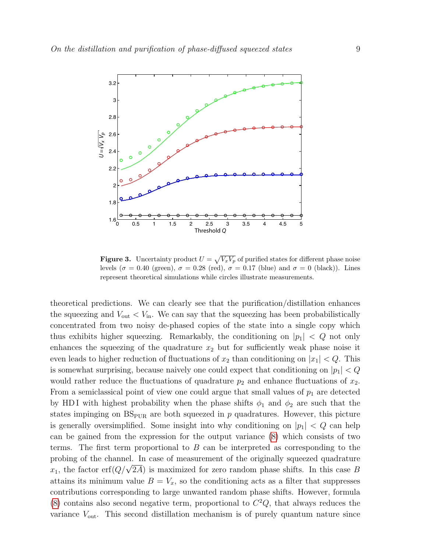

<span id="page-8-0"></span>**Figure 3.** Uncertainty product  $U = \sqrt{V_x V_p}$  of purified states for different phase noise levels ( $\sigma = 0.40$  (green),  $\sigma = 0.28$  (red),  $\sigma = 0.17$  (blue) and  $\sigma = 0$  (black)). Lines represent theoretical simulations while circles illustrate measurements.

theoretical predictions. We can clearly see that the purification/distillation enhances the squeezing and  $V_{\text{out}} < V_{\text{in}}$ . We can say that the squeezing has been probabilistically concentrated from two noisy de-phased copies of the state into a single copy which thus exhibits higher squeezing. Remarkably, the conditioning on  $|p_1| < Q$  not only enhances the squeezing of the quadrature  $x_2$  but for sufficiently weak phase noise it even leads to higher reduction of fluctuations of  $x_2$  than conditioning on  $|x_1| < Q$ . This is somewhat surprising, because naively one could expect that conditioning on  $|p_1| < Q$ would rather reduce the fluctuations of quadrature  $p_2$  and enhance fluctuations of  $x_2$ . From a semiclassical point of view one could argue that small values of  $p_1$  are detected by HD I with highest probability when the phase shifts  $\phi_1$  and  $\phi_2$  are such that the states impinging on  $BS_{PUR}$  are both squeezed in p quadratures. However, this picture is generally oversimplified. Some insight into why conditioning on  $|p_1| < Q$  can help can be gained from the expression for the output variance [\(8\)](#page-6-1) which consists of two terms. The first term proportional to  $B$  can be interpreted as corresponding to the probing of the channel. In case of measurement of the originally squeezed quadrature proof proof proof is maximized for zero random phase shifts. In this case B  $x_1$ , the factor erf $(Q/\sqrt{2A})$  is maximized for zero random phase shifts. In this case B attains its minimum value  $B = V_x$ , so the conditioning acts as a filter that suppresses contributions corresponding to large unwanted random phase shifts. However, formula  $(8)$  contains also second negative term, proportional to  $C<sup>2</sup>Q$ , that always reduces the variance  $V_{\text{out}}$ . This second distillation mechanism is of purely quantum nature since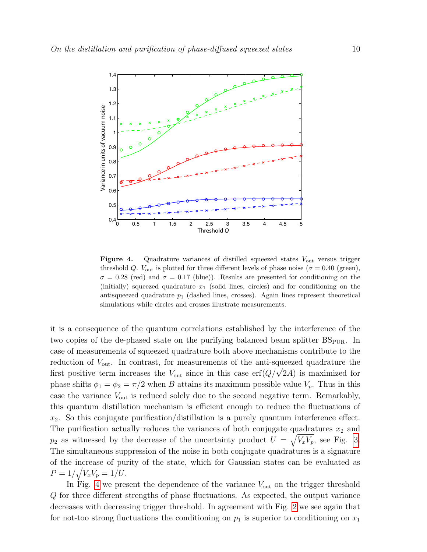

<span id="page-9-0"></span>**Figure 4.** Quadrature variances of distilled squeezed states  $V_{\text{out}}$  versus trigger threshold Q.  $V_{\text{out}}$  is plotted for three different levels of phase noise ( $\sigma = 0.40$  (green),  $\sigma = 0.28$  (red) and  $\sigma = 0.17$  (blue)). Results are presented for conditioning on the (initially) squeezed quadrature  $x_1$  (solid lines, circles) and for conditioning on the antisqueezed quadrature  $p_1$  (dashed lines, crosses). Again lines represent theoretical simulations while circles and crosses illustrate measurements.

it is a consequence of the quantum correlations established by the interference of the two copies of the de-phased state on the purifying balanced beam splitter  $BS_{PUR}$ . In case of measurements of squeezed quadrature both above mechanisms contribute to the reduction of  $V_{\text{out}}$ . In contrast, for measurements of the anti-squeezed quadrature the from the v<sub>out</sub>. In contrast, for measurements of the anti-squeezed quadrature the first positive term increases the  $V_{\text{out}}$  since in this case erf $(Q/\sqrt{2A})$  is maximized for phase shifts  $\phi_1 = \phi_2 = \pi/2$  when B attains its maximum possible value  $V_p$ . Thus in this case the variance  $V_{\text{out}}$  is reduced solely due to the second negative term. Remarkably, this quantum distillation mechanism is efficient enough to reduce the fluctuations of  $x_2$ . So this conjugate purification/distillation is a purely quantum interference effect. The purification actually reduces the variances of both conjugate quadratures  $x_2$  and  $p_2$  as witnessed by the decrease of the uncertainty product  $U = \sqrt{V_x V_p}$ , see Fig. [3.](#page-8-0) The simultaneous suppression of the noise in both conjugate quadratures is a signature of the increase of purity of the state, which for Gaussian states can be evaluated as  $P = 1/\sqrt{V_x V_p} = 1/U.$ 

In Fig. [4](#page-9-0) we present the dependence of the variance  $V_{\text{out}}$  on the trigger threshold Q for three different strengths of phase fluctuations. As expected, the output variance decreases with decreasing trigger threshold. In agreement with Fig. [2](#page-7-1) we see again that for not-too strong fluctuations the conditioning on  $p_1$  is superior to conditioning on  $x_1$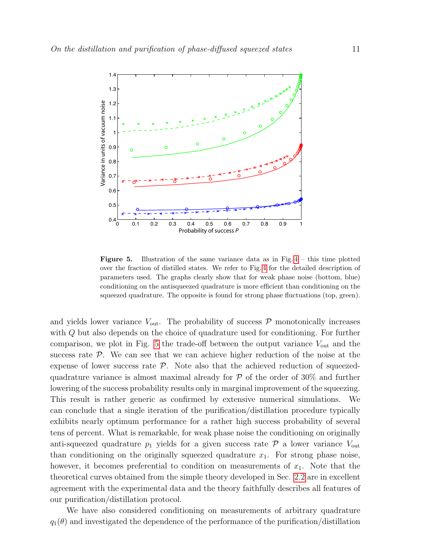

<span id="page-10-0"></span>**Figure 5.** Illustration of the same variance data as in Fig.  $4$  – this time plotted over the fraction of distilled states. We refer to Fig. [4](#page-9-0) for the detailed description of parameters used. The graphs clearly show that for weak phase noise (bottom, blue) conditioning on the antisqueezed quadrature is more efficient than conditioning on the squeezed quadrature. The opposite is found for strong phase fluctuations (top, green).

and yields lower variance  $V_{\text{out}}$ . The probability of success  $P$  monotonically increases with Q but also depends on the choice of quadrature used for conditioning. For further comparison, we plot in Fig. [5](#page-10-0) the trade-off between the output variance  $V_{\text{out}}$  and the success rate  $P$ . We can see that we can achieve higher reduction of the noise at the expense of lower success rate  $P$ . Note also that the achieved reduction of squeezedquadrature variance is almost maximal already for  $P$  of the order of 30% and further lowering of the success probability results only in marginal improvement of the squeezing. This result is rather generic as confirmed by extensive numerical simulations. We can conclude that a single iteration of the purification/distillation procedure typically exhibits nearly optimum performance for a rather high success probability of several tens of percent. What is remarkable, for weak phase noise the conditioning on originally anti-squeezed quadrature  $p_1$  yields for a given success rate  $P$  a lower variance  $V_{\text{out}}$ than conditioning on the originally squeezed quadrature  $x_1$ . For strong phase noise, however, it becomes preferential to condition on measurements of  $x_1$ . Note that the theoretical curves obtained from the simple theory developed in Sec. [2.2](#page-5-0) are in excellent agreement with the experimental data and the theory faithfully describes all features of our purification/distillation protocol.

We have also considered conditioning on measurements of arbitrary quadrature  $q_1(\theta)$  and investigated the dependence of the performance of the purification/distillation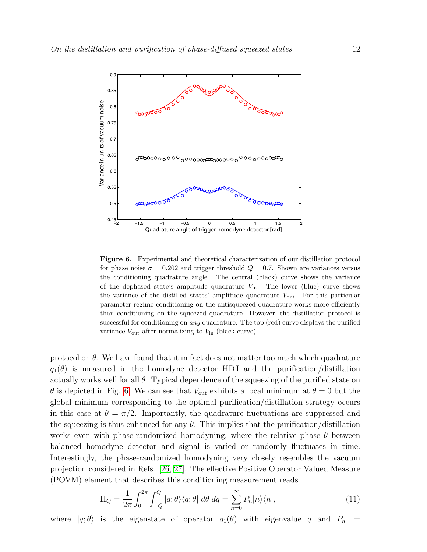

<span id="page-11-0"></span>Figure 6. Experimental and theoretical characterization of our distillation protocol for phase noise  $\sigma = 0.202$  and trigger threshold  $Q = 0.7$ . Shown are variances versus the conditioning quadrature angle. The central (black) curve shows the variance of the dephased state's amplitude quadrature  $V_{\text{in}}$ . The lower (blue) curve shows the variance of the distilled states' amplitude quadrature  $V_{\text{out}}$ . For this particular parameter regime conditioning on the antisqueezed quadrature works more efficiently than conditioning on the squeezed quadrature. However, the distillation protocol is successful for conditioning on *any* quadrature. The top (red) curve displays the purified variance  $V_{\text{out}}$  after normalizing to  $V_{\text{in}}$  (black curve).

protocol on  $\theta$ . We have found that it in fact does not matter too much which quadrature  $q_1(\theta)$  is measured in the homodyne detector HDI and the purification/distillation actually works well for all  $\theta$ . Typical dependence of the squeezing of the purified state on  $\theta$  is depicted in Fig. [6.](#page-11-0) We can see that  $V_{\text{out}}$  exhibits a local minimum at  $\theta = 0$  but the global minimum corresponding to the optimal purification/distillation strategy occurs in this case at  $\theta = \pi/2$ . Importantly, the quadrature fluctuations are suppressed and the squeezing is thus enhanced for any  $\theta$ . This implies that the purification/distillation works even with phase-randomized homodyning, where the relative phase  $\theta$  between balanced homodyne detector and signal is varied or randomly fluctuates in time. Interestingly, the phase-randomized homodyning very closely resembles the vacuum projection considered in Refs. [\[26,](#page-17-13) [27\]](#page-17-14). The effective Positive Operator Valued Measure (POVM) element that describes this conditioning measurement reads

$$
\Pi_Q = \frac{1}{2\pi} \int_0^{2\pi} \int_{-Q}^Q |q; \theta\rangle\langle q; \theta| d\theta dq = \sum_{n=0}^\infty P_n |n\rangle\langle n|,
$$
\n(11)

where  $|q; \theta\rangle$  is the eigenstate of operator  $q_1(\theta)$  with eigenvalue q and  $P_n$  =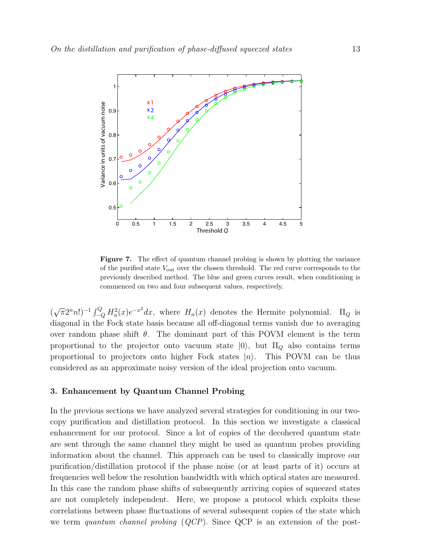

<span id="page-12-1"></span>Figure 7. The effect of quantum channel probing is shown by plotting the variance of the purified state  $V_{\text{out}}$  over the chosen threshold. The red curve corresponds to the previously described method. The blue and green curves result, when conditioning is commenced on two and four subsequent values, respectively.

( √  $(\pi 2^n n!)^{-1} \int_{-Q}^{Q} H_n^2(x) e^{-x^2} dx$ , where  $H_n(x)$  denotes the Hermite polynomial.  $\Pi_Q$  is diagonal in the Fock state basis because all off-diagonal terms vanish due to averaging over random phase shift  $\theta$ . The dominant part of this POVM element is the term proportional to the projector onto vacuum state  $|0\rangle$ , but  $\Pi_{\mathcal{O}}$  also contains terms proportional to projectors onto higher Fock states  $|n\rangle$ . This POVM can be thus considered as an approximate noisy version of the ideal projection onto vacuum.

#### <span id="page-12-0"></span>3. Enhancement by Quantum Channel Probing

In the previous sections we have analyzed several strategies for conditioning in our twocopy purification and distillation protocol. In this section we investigate a classical enhancement for our protocol. Since a lot of copies of the decohered quantum state are sent through the same channel they might be used as quantum probes providing information about the channel. This approach can be used to classically improve our purification/distillation protocol if the phase noise (or at least parts of it) occurs at frequencies well below the resolution bandwidth with which optical states are measured. In this case the random phase shifts of subsequently arriving copies of squeezed states are not completely independent. Here, we propose a protocol which exploits these correlations between phase fluctuations of several subsequent copies of the state which we term quantum channel probing  $(QCP)$ . Since QCP is an extension of the post-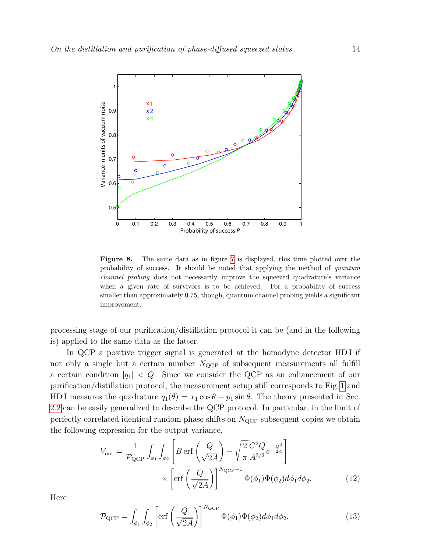

<span id="page-13-2"></span>Figure 8. The same data as in figure [7](#page-12-1) is displayed, this time plotted over the probability of success. It should be noted that applying the method of quantum channel probing does not necessarily improve the squeezed quadrature's variance when a given rate of survivors is to be achieved. For a probability of success smaller than approximately 0.75, though, quantum channel probing yields a significant improvement.

processing stage of our purification/distillation protocol it can be (and in the following is) applied to the same data as the latter.

In QCP a positive trigger signal is generated at the homodyne detector HDI if not only a single but a certain number  $N_{QCP}$  of subsequent measurements all fulfill a certain condition  $|q_1| < Q$ . Since we consider the QCP as an enhancement of our purification/distillation protocol, the measurement setup still corresponds to Fig. [1](#page-3-0) and HD I measures the quadrature  $q_1(\theta) = x_1 \cos \theta + p_1 \sin \theta$ . The theory presented in Sec. [2.2](#page-5-0) can be easily generalized to describe the QCP protocol. In particular, in the limit of perfectly correlated identical random phase shifts on  $N_{\text{QCP}}$  subsequent copies we obtain the following expression for the output variance,

<span id="page-13-0"></span>
$$
V_{\text{out}} = \frac{1}{\mathcal{P}_{\text{QCP}}} \int_{\phi_1} \int_{\phi_2} \left[ B \operatorname{erf} \left( \frac{Q}{\sqrt{2A}} \right) - \sqrt{\frac{2}{\pi}} \frac{C^2 Q}{A^{3/2}} e^{-\frac{Q^2}{2A}} \right] \times \left[ \operatorname{erf} \left( \frac{Q}{\sqrt{2A}} \right) \right]^{N_{\text{QCP}} - 1} \Phi(\phi_1) \Phi(\phi_2) d\phi_1 d\phi_2.
$$
 (12)

Here

<span id="page-13-1"></span>
$$
\mathcal{P}_{\rm QCP} = \int_{\phi_1} \int_{\phi_2} \left[ \text{erf}\left(\frac{Q}{\sqrt{2A}}\right) \right]^{N_{\rm QCP}} \Phi(\phi_1) \Phi(\phi_2) d\phi_1 d\phi_2. \tag{13}
$$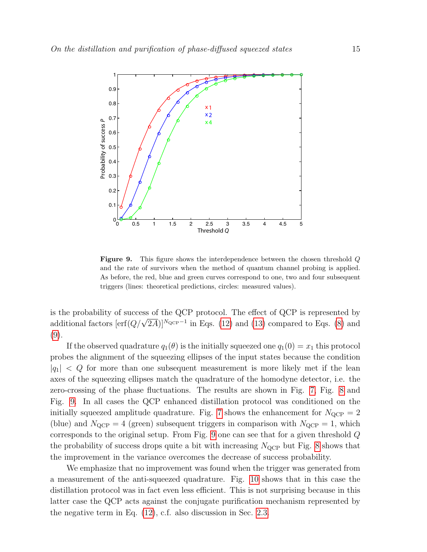

<span id="page-14-0"></span>Figure 9. This figure shows the interdependence between the chosen threshold Q and the rate of survivors when the method of quantum channel probing is applied. As before, the red, blue and green curves correspond to one, two and four subsequent triggers (lines: theoretical predictions, circles: measured values).

is the probability of success of the QCP protocol. The effect of QCP is represented by is the probability of success of the QCI protocol. The effect of QCI is represented by<br>additional factors  $[\text{erf}(Q/\sqrt{2A})]^{N_{\text{QCP}}-1}$  in Eqs. [\(12\)](#page-13-0) and [\(13\)](#page-13-1) compared to Eqs. [\(8\)](#page-6-1) and [\(9\)](#page-6-2).

If the observed quadrature  $q_1(\theta)$  is the initially squeezed one  $q_1(0) = x_1$  this protocol probes the alignment of the squeezing ellipses of the input states because the condition  $|q_1|$  < Q for more than one subsequent measurement is more likely met if the lean axes of the squeezing ellipses match the quadrature of the homodyne detector, i.e. the zero-crossing of the phase fluctuations. The results are shown in Fig. [7,](#page-12-1) Fig. [8](#page-13-2) and Fig. [9.](#page-14-0) In all cases the QCP enhanced distillation protocol was conditioned on the initially squeezed amplitude quadrature. Fig. [7](#page-12-1) shows the enhancement for  $N_{\text{QCP}} = 2$ (blue) and  $N_{\text{QCP}} = 4$  (green) subsequent triggers in comparison with  $N_{\text{QCP}} = 1$ , which corresponds to the original setup. From Fig. [9](#page-14-0) one can see that for a given threshold Q the probability of success drops quite a bit with increasing  $N_{QCP}$  but Fig. [8](#page-13-2) shows that the improvement in the variance overcomes the decrease of success probability.

We emphasize that no improvement was found when the trigger was generated from a measurement of the anti-squeezed quadrature. Fig. [10](#page-15-1) shows that in this case the distillation protocol was in fact even less efficient. This is not surprising because in this latter case the QCP acts against the conjugate purification mechanism represented by the negative term in Eq. [\(12\)](#page-13-0), c.f. also discussion in Sec. [2.3.](#page-7-0)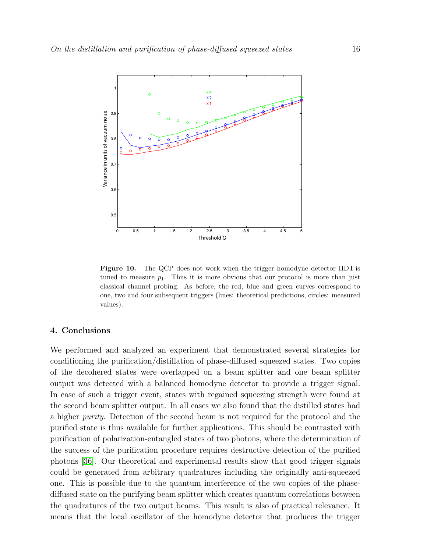

<span id="page-15-1"></span>Figure 10. The QCP does not work when the trigger homodyne detector HDI is tuned to measure  $p_1$ . Thus it is more obvious that our protocol is more than just classical channel probing. As before, the red, blue and green curves correspond to one, two and four subsequent triggers (lines: theoretical predictions, circles: measured values).

## <span id="page-15-0"></span>4. Conclusions

We performed and analyzed an experiment that demonstrated several strategies for conditioning the purification/distillation of phase-diffused squeezed states. Two copies of the decohered states were overlapped on a beam splitter and one beam splitter output was detected with a balanced homodyne detector to provide a trigger signal. In case of such a trigger event, states with regained squeezing strength were found at the second beam splitter output. In all cases we also found that the distilled states had a higher purity. Detection of the second beam is not required for the protocol and the purified state is thus available for further applications. This should be contrasted with purification of polarization-entangled states of two photons, where the determination of the success of the purification procedure requires destructive detection of the purified photons [\[36\]](#page-17-23). Our theoretical and experimental results show that good trigger signals could be generated from arbitrary quadratures including the originally anti-squeezed one. This is possible due to the quantum interference of the two copies of the phasediffused state on the purifying beam splitter which creates quantum correlations between the quadratures of the two output beams. This result is also of practical relevance. It means that the local oscillator of the homodyne detector that produces the trigger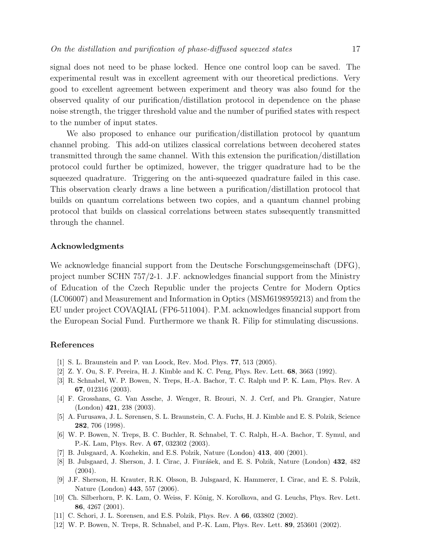signal does not need to be phase locked. Hence one control loop can be saved. The experimental result was in excellent agreement with our theoretical predictions. Very good to excellent agreement between experiment and theory was also found for the observed quality of our purification/distillation protocol in dependence on the phase noise strength, the trigger threshold value and the number of purified states with respect to the number of input states.

We also proposed to enhance our purification/distillation protocol by quantum channel probing. This add-on utilizes classical correlations between decohered states transmitted through the same channel. With this extension the purification/distillation protocol could further be optimized, however, the trigger quadrature had to be the squeezed quadrature. Triggering on the anti-squeezed quadrature failed in this case. This observation clearly draws a line between a purification/distillation protocol that builds on quantum correlations between two copies, and a quantum channel probing protocol that builds on classical correlations between states subsequently transmitted through the channel.

## Acknowledgments

We acknowledge financial support from the Deutsche Forschungsgemeinschaft (DFG), project number SCHN 757/2-1. J.F. acknowledges financial support from the Ministry of Education of the Czech Republic under the projects Centre for Modern Optics (LC06007) and Measurement and Information in Optics (MSM6198959213) and from the EU under project COVAQIAL (FP6-511004). P.M. acknowledges financial support from the European Social Fund. Furthermore we thank R. Filip for stimulating discussions.

# References

- <span id="page-16-0"></span>[1] S. L. Braunstein and P. van Loock, Rev. Mod. Phys. 77, 513 (2005).
- <span id="page-16-1"></span>[2] Z. Y. Ou, S. F. Pereira, H. J. Kimble and K. C. Peng, Phys. Rev. Lett. 68, 3663 (1992).
- <span id="page-16-2"></span>[3] R. Schnabel, W. P. Bowen, N. Treps, H.-A. Bachor, T. C. Ralph und P. K. Lam, Phys. Rev. A 67, 012316 (2003).
- <span id="page-16-3"></span>[4] F. Grosshans, G. Van Assche, J. Wenger, R. Brouri, N. J. Cerf, and Ph. Grangier, Nature (London) 421, 238 (2003).
- <span id="page-16-4"></span>[5] A. Furusawa, J. L. Sørensen, S. L. Braunstein, C. A. Fuchs, H. J. Kimble and E. S. Polzik, Science 282, 706 (1998).
- <span id="page-16-5"></span>[6] W. P. Bowen, N. Treps, B. C. Buchler, R. Schnabel, T. C. Ralph, H.-A. Bachor, T. Symul, and P.-K. Lam, Phys. Rev. A 67, 032302 (2003).
- <span id="page-16-6"></span>[7] B. Julsgaard, A. Kozhekin, and E.S. Polzik, Nature (London) 413, 400 (2001).
- <span id="page-16-7"></span>[8] B. Julsgaard, J. Sherson, J. I. Cirac, J. Fiurášek, and E. S. Polzik, Nature (London) 432, 482 (2004).
- <span id="page-16-8"></span>[9] J.F. Sherson, H. Krauter, R.K. Olsson, B. Julsgaard, K. Hammerer, I. Cirac, and E. S. Polzik, Nature (London) 443, 557 (2006).
- <span id="page-16-9"></span>[10] Ch. Silberhorn, P. K. Lam, O. Weiss, F. König, N. Korolkova, and G. Leuchs, Phys. Rev. Lett. 86, 4267 (2001).
- <span id="page-16-10"></span>[11] C. Schori, J. L. Sorensen, and E.S. Polzik, Phys. Rev. A 66, 033802 (2002).
- <span id="page-16-11"></span>[12] W. P. Bowen, N. Treps, R. Schnabel, and P.-K. Lam, Phys. Rev. Lett. 89, 253601 (2002).